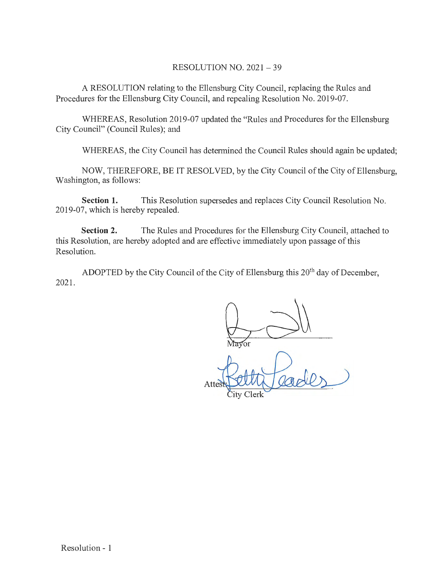## RESOLUTION NO. 2021 - 39

A RESOLUTION relating to the Ellensburg City Council, replacing the Rules and Procedures for the Ellensburg City Council, and repealing Resolution No. 2019-07.

WHEREAS, Resolution 2019-07 updated the "Rules and Procedures for the Ellensburg City Council" (Council Rules); and

WHEREAS, the City Council has determined the Council Rules should again be updated;

NOW, THEREFORE, BE IT RESOLVED, by the City Council of the City of Ellensburg, Washington, as follows:

**Section 1.** This Resolution supersedes and replaces City Council Resolution No. 2019-07, which is hereby repealed.

**Section 2.** The Rules and Procedures for the Ellensburg City Council, attached to this Resolution, are hereby adopted and are effective immediately upon passage of this Resolution.

ADOPTED by the City Council of the City of Ellensburg this 20<sup>th</sup> day of December, 2021.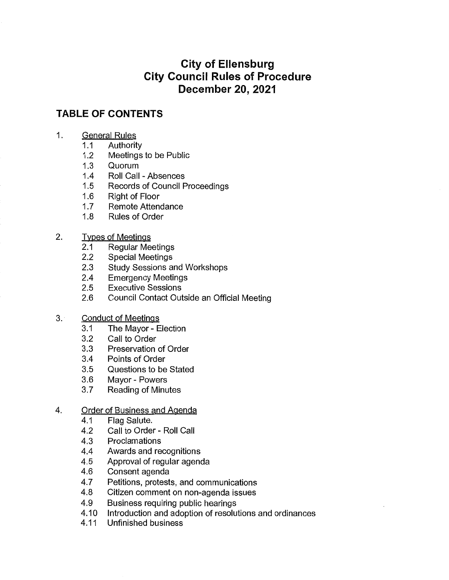# **City of Ellensburg City Council Rules of Procedure December 20, 2021**

## **TABLE OF CONTENTS**

- 1. General Rules
	-
	- 1.1 Authority<br>1.2 Meetings Meetings to be Public
	- 1.3 Quorum
	-
	- 1.4 Roll Call Absences<br>1.5 Records of Council F Records of Council Proceedings
	- 1.6 Right of Floor
	- 1.7 Remote Attendance
	- 1.8 Rules of Order
- 2. Types of Meetings
	- 2.1 Regular Meetings
	- 2.2 Special Meetings<br>2.3 Study Sessions a
	- **Study Sessions and Workshops**
	- 2.4 Emergency Meetings
	- 2.5 Executive Sessions
	- 2.6 Council Contact Outside an Official Meeting

## 3. Conduct of Meetings

- 3.1 The Mayor Election
- 3.2 Call to Order
- 3.3 Preservation of Order
- 3.4 Points of Order
- 3.5 Questions to be Stated
- 3.6 Mayor Powers
- 3.7 Reading of Minutes

## 4. Order of Business and Agenda

- 4.1 Flag Salute.
- 4.2 Call to Order Roll Call
- 4.3 Proclamations
- 4.4 Awards and recognitions
- 4.5 Approval of regular agenda
- 4.6 Consent agenda
- 4.7 Petitions, protests, and communications
- 4.8 Citizen comment on non-agenda issues
- 4.9 Business requiring public hearings
- 4.10 Introduction and adoption of resolutions and ordinances
- 4.11 Unfinished business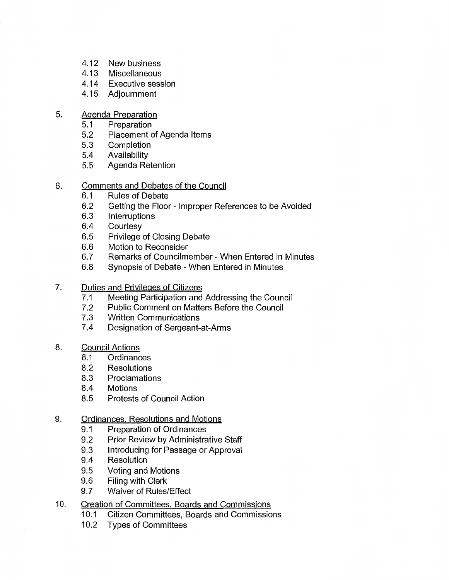- 4.12 New business<br>4.13 Miscellaneous
- **Miscellaneous**
- 4.14 Executive session
- 4.15 Adjournment
- 5. Agenda Preparation
	- 5.1 Preparation
	- 5.2 Placement of Agenda Items
	- 5.3 Completion
	- 5.4 Availability
	- 5.5 Agenda Retention
- 6. Comments and Debates of the Council
	- 6.1 Rules of Debate
	- 6.2 Getting the Floor Improper References to be Avoided
	- 6.3 Interruptions
	- 6.4 Courtesy
	- 6.5 Privilege of Closing Debate
	- 6.6 Motion to Reconsider
	- 6.7 Remarks of Councilmember When Entered in Minutes
	- 6.8 Synopsis of Debate When Entered in Minutes
- 7. Duties and Privileges of Citizens
	- 7 .1 Meeting Participation and Addressing the Council
	- 7 .2 Public Comment on Matters Before the Council
	- 7.3 Written Communications
	- 7.4 Designation of Sergeant-at-Arms
- 8. Council Actions
	- 8.1 Ordinances
	- 8.2 Resolutions
	- 8.3 Proclamations
	- 8.4 Motions
	- 8.5 Protests of Council Action
- 9. Ordinances, Resolutions and Motions
	- 9.1 Preparation of Ordinances
	- 9.2 Prior Review by Administrative Staff
	- 9.3 Introducing for Passage or Approval
	- 9.4 Resolution
	- 9.5 Voting and Motions
	- 9.6 Filing with Clerk
	- 9.7 Waiver of Rules/Effect
- 10. Creation of Committees. Boards and Commissions
	- 10.1 Citizen Committees, Boards and Commissions
	- 10.2 Types of Committees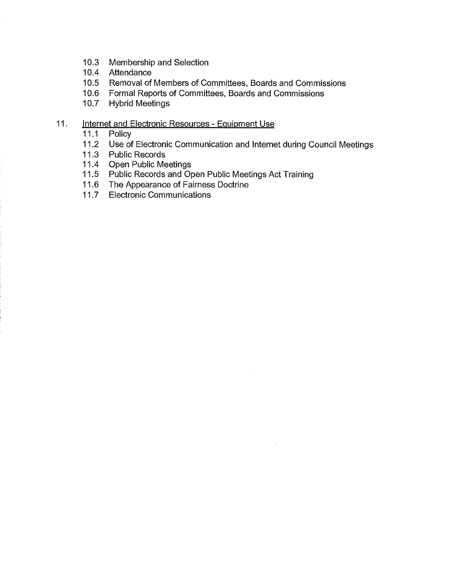- 10.3 Membership and Selection
- 10.4 Attendance
- 10.5 Removal of Members of Committees, Boards and Commissions
- 10.6 Formal Reports of Committees, Boards and Commissions
- 10.7 Hybrid Meetings

## 11. **Internet and Electronic Resources - Equipment Use**

- 11.1 Policy
- 11.2 Use of Electronic Communication and Internet during Council Meetings
- 11.3 Public Records<br>11.4 Open Public Me
- **Open Public Meetings**
- 11.5 Public Records and Open Public Meetings Act Training
- 11.6 The Appearance of Fairness Doctrine
- 11.7 Electronic Communications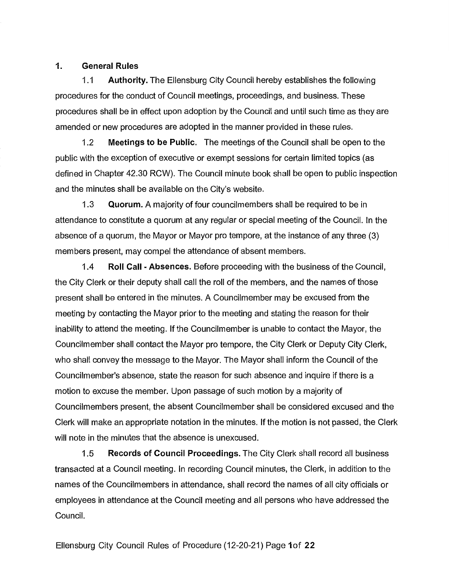## 1. General Rules

1.1 Authority. The Ellensburg City Council hereby establishes the following procedures for the conduct of Council meetings, proceedings, and business. These procedures shall be in effect upon adoption by the Council and until such time as they are amended or new procedures are adopted in the manner provided in these rules.

1.2 Meetings to be Public. The meetings of the Council shall be open to the public with the exception of executive or exempt sessions for certain limited topics (as defined in Chapter 42.30 RCW). The Council minute book shall be open to public inspection and the minutes shall be available on the City's website.

1.3 Quorum. A majority of four councilmembers shall be required to be in attendance to constitute a quorum at any regular or special meeting of the Council. In the absence of a quorum, the Mayor or Mayor pro tempore, at the instance of any three (3) members present, may compel the attendance of absent members.

1.4 Roll Call - Absences. Before proceeding with the business of the Council, the City Clerk or their deputy shall call the roll of the members, and the names of those present shall be entered in the minutes. A Councilmember may be excused from the meeting by contacting the Mayor prior to the meeting and stating the reason for their inability to attend the meeting. If the Councilmember is unable to contact the Mayor, the Councilmember shall contact the Mayor pro tempore, the City Clerk or Deputy City Clerk, who shall convey the message to the Mayor. The Mayor shall inform the Council of the Councilmember's absence, state the reason for such absence and inquire if there is a motion to excuse the member. Upon passage of such motion by a majority of Councilmembers present, the absent Councilmember shall be considered excused and the Clerk will make an appropriate notation in the minutes. If the motion is not passed, the Clerk will note in the minutes that the absence is unexcused.

1.5 Records of Council Proceedings. The City Clerk shall record all business transacted at a Council meeting. In recording Council minutes, the Clerk, in addition to the names of the Councilmembers in attendance, shall record the names of all city officials or employees in attendance at the Council meeting and all persons who have addressed the Council.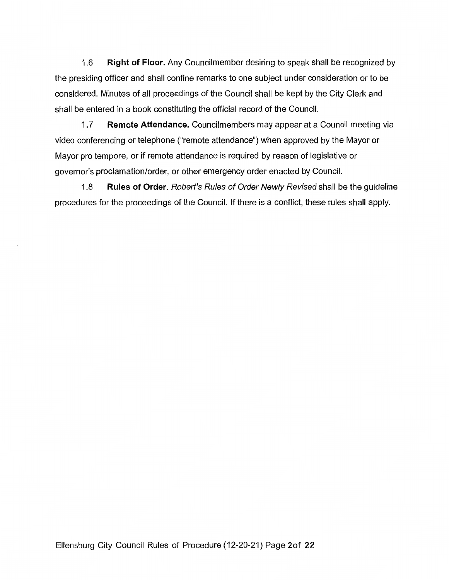1.6 **Right of Floor.** Any Councilmember desiring to speak shall be recognized by the presiding officer and shall confine remarks to one subject under consideration or to be considered. Minutes of all proceedings of the Council shall be kept by the City Clerk and shall be entered in a book constituting the official record of the Council.

1.7 **Remote Attendance.** Councilmembers may appear at a Council meeting via video conferencing or telephone ("remote attendance") when approved by the Mayor or Mayor pro tempore, or if remote attendance is required by reason of legislative or governor's proclamation/order, or other emergency order enacted by Council.

1.8 **Rules of Order.** Robert's Rules of Order Newly Revised shall be the guideline procedures for the proceedings of the Council. If there is a conflict, these rules shall apply.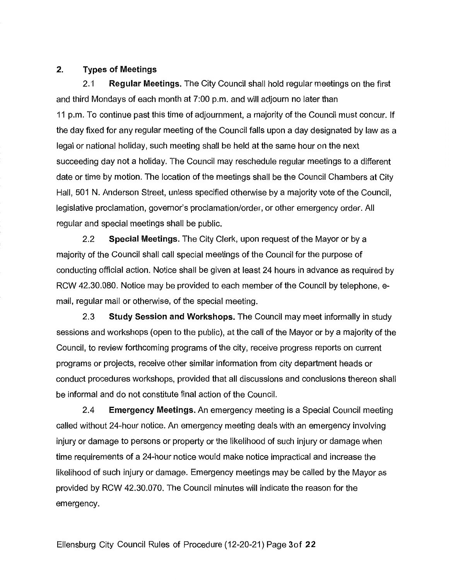## **2. Types of Meetings**

2.1 **Regular Meetings.** The City Council shall hold regular meetings on the first and third Mondays of each month at 7:00 p.m. and will adjourn no later than 11 p.m. To continue past this time of adjournment, a majority of the Council must concur. If the day fixed for any regular meeting of the Council falls upon a day designated by law as a legal or national holiday, such meeting shall be held at the same hour on the next succeeding day not a holiday. The Council may reschedule regular meetings to a different date or time by motion. The location of the meetings shall be the Council Chambers at City Hall, 501 N. Anderson Street, unless specified otherwise by a majority vote of the Council, legislative proclamation, governor's proclamation/order, or other emergency order. All regular and special meetings shall be public.

2.2 **Special Meetings.** The City Clerk, upon request of the Mayor or by a majority of the Council shall call special meetings of the Council for the purpose of conducting official action. Notice shall be given at least 24 hours in advance as required by RCW 42.30.080. Notice may be provided to each member of the Council by telephone, email, regular mail or otherwise, of the special meeting.

2.3 **Study Session and Workshops.** The Council may meet informally in study sessions and workshops (open to the public), at the call of the Mayor or by a majority of the Council, to review forthcoming programs of the city, receive progress reports on current programs or projects, receive other similar information from city department heads or conduct procedures workshops, provided that all discussions and conclusions thereon shall be informal and do not constitute final action of the Council.

2.4 **Emergency Meetings.** An emergency meeting is a Special Council meeting called without 24-hour notice. An emergency meeting deals with an emergency involving injury or damage to persons or property or the likelihood of such injury or damage when time requirements of a 24-hour notice would make notice impractical and increase the likelihood of such injury or damage. Emergency meetings may be called by the Mayor as provided by RCW 42.30.070. The Council minutes will indicate the reason for the emergency.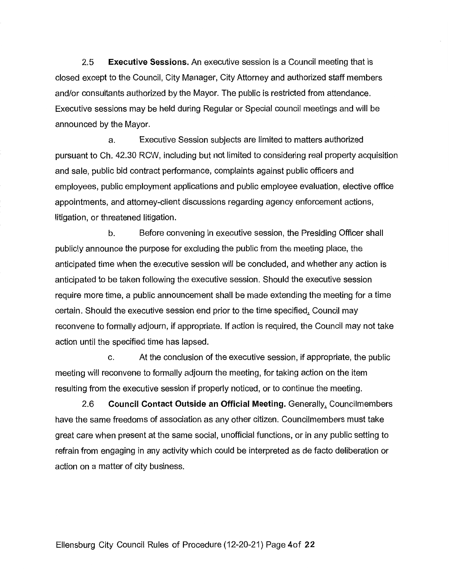2.5 **Executive Sessions.** An executive session is a Council meeting that is closed except to the Council, City Manager, City Attorney and authorized staff members and/or consultants authorized by the Mayor. The public is restricted from attendance. Executive sessions may be held during Regular or Special council meetings and will be announced by the Mayor.

a. Executive Session subjects are limited to matters authorized pursuant to Ch. 42.30 RCW, including but not limited to considering real property acquisition and sale, public bid contract performance, complaints against public officers and employees, public employment applications and public employee evaluation, elective office appointments, and attorney-client discussions regarding agency enforcement actions, litigation, or threatened litigation.

b. Before convening in executive session, the Presiding Officer shall publicly announce the purpose for excluding the public from the meeting place, the anticipated time when the executive session will be concluded, and whether any action is anticipated to be taken following the executive session. Should the executive session require more time, a public announcement shall be made extending the meeting for a time certain. Should the executive session end prior to the time specified. Council may reconvene to formally adjourn, if appropriate. If action is required, the Council may not take action until the specified time has lapsed.

c. At the conclusion of the executive session, if appropriate, the public meeting will reconvene to formally adjourn the meeting, for taking action on the item resulting from the executive session if properly noticed, or to continue the meeting.

2.6 **Council Contact Outside an Official Meeting.** Generally, Councilmembers have the same freedoms of association as any other citizen. Councilmembers must take great care when present at the same social, unofficial functions, or in any public setting to refrain from engaging in any activity which could be interpreted as de facto deliberation or action on a matter of city business.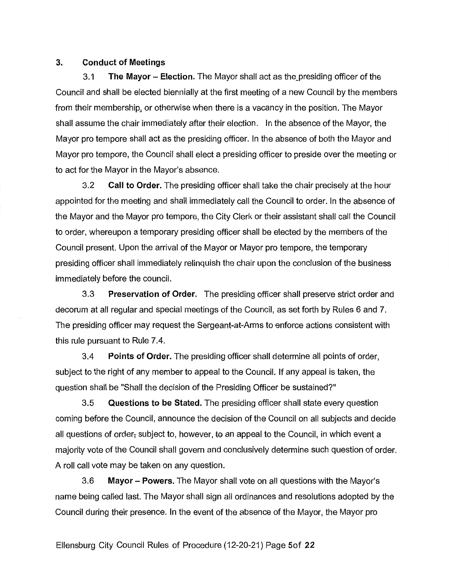## **3. Conduct of Meetings**

3.1 **The Mayor - Election.** The Mayor shall act as the\_presiding officer of the Council and shall be elected biennially at the first meeting of a new Council by the members from their membership, or otherwise when there is a vacancy in the position. The Mayor shall assume the chair immediately after their election. In the absence of the Mayor, the Mayor pro tempore shall act as the presiding officer. In the absence of both the Mayor and Mayor pro tempore, the Council shall elect a presiding officer to preside over the meeting or to act for the Mayor in the Mayor's absence.

3.2 **Call to Order.** The presiding officer shall take the chair precisely at the hour appointed for the meeting and shall immediately call the Council to order. In the absence of the Mayor and the Mayor pro tempore, the City Clerk or their assistant shall call the Council to order, whereupon a temporary presiding officer shall be elected by the members of the Council present. Upon the arrival of the Mayor or Mayor pro tempore, the temporary presiding officer shall immediately relinquish the chair upon the conclusion of the business immediately before the council.

3.3 **Preservation of Order.** The presiding officer shall preserve strict order and decorum at all regular and special meetings of the Council, as set forth by Rules 6 and 7. The presiding officer may request the Sergeant-at-Arms to enforce actions consistent with this rule pursuant to Rule 7.4.

3.4 **Points of Order.** The presiding officer shall determine all points of order, subject to the right of any member to appeal to the Council. If any appeal is taken, the question shall be "Shall the decision of the Presiding Officer be sustained?"

3.5 **Questions to be Stated.** The presiding officer shall state every question coming before the Council, announce the decision of the Council on all subjects and decide all questions of order, subject to, however, te an appeal to the Council, in which event a majority vote of the Council shall govern and conclusively determine such question of order. A roll call vote may be taken on any question.

3.6 **Mayor - Powers.** The Mayor shall vote on all questions with the Mayor's name being called last. The Mayor shall sign all ordinances and resolutions adopted by the Council during their presence. In the event of the absence of the Mayor, the Mayor pro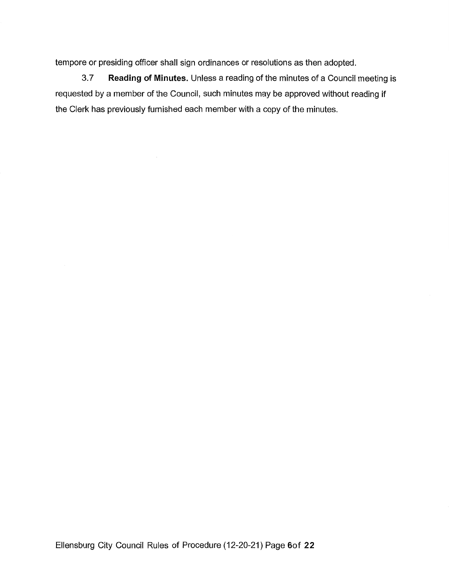tempore or presiding officer shall sign ordinances or resolutions as then adopted.

3. 7 **Reading of Minutes.** Unless a reading of the minutes of a Council meeting is requested by a member of the Council, such minutes may be approved without reading if the Clerk has previously furnished each member with a copy of the minutes.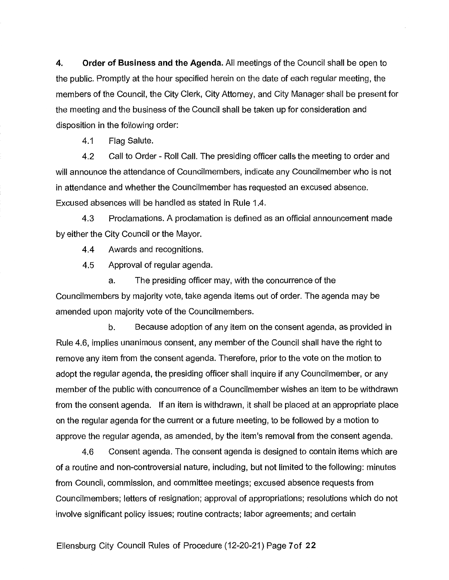**4. Order of Business and the Agenda.** All meetings of the Council shall be open to the public. Promptly at the hour specified herein on the date of each regular meeting, the members of the Council, the City Clerk, City Attorney, and City Manager shall be present for the meeting and the business of the Council shall be taken up for consideration and disposition in the following order:

4.1 Flag Salute.

4.2 Call to Order - Roll Call. The presiding officer calls the meeting to order and will announce the attendance of Councilmembers, indicate any Councilmember who is not in attendance and whether the Councilmember has requested an excused absence. Excused absences will be handled as stated in Rule 1.4.

4.3 Proclamations. A proclamation is defined as an official announcement made by either the City Council or the Mayor.

4.4 Awards and recognitions.

4.5 Approval of regular agenda.

a. The presiding officer may, with the concurrence of the Councilmembers by majority vote, take agenda items out of order. The agenda may be amended upon majority vote of the Councilmembers.

b. Because adoption of any item on the consent agenda, as provided in Rule 4.6, implies unanimous consent, any member of the Council shall have the right to remove any item from the consent agenda. Therefore, prior to the vote on the motion to adopt the regular agenda, the presiding officer shall inquire if any Councilmember, or any member of the public with concurrence of a Councilmember wishes an item to be withdrawn from the consent agenda. If an item is withdrawn, it shall be placed at an appropriate place on the regular agenda for the current or a future meeting, to be followed by a motion to approve the regular agenda, as amended, by the item's removal from the consent agenda.

4.6 Consent agenda. The consent agenda is designed to contain items which are of a routine and non-controversial nature, including, but not limited to the following: minutes from Council, commission, and committee meetings; excused absence requests from Councilmembers; letters of resignation; approval of appropriations; resolutions which do not involve significant policy issues; routine contracts; labor agreements; and certain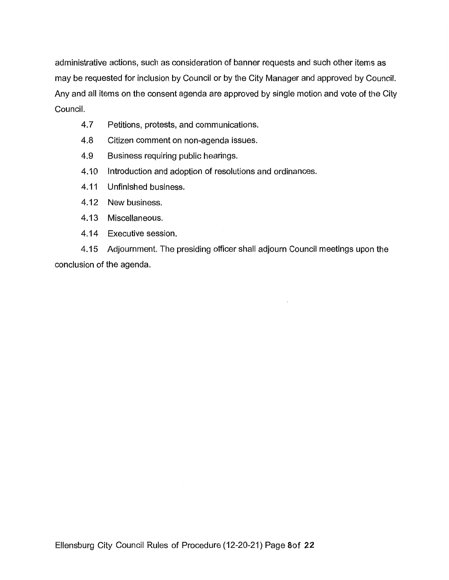administrative actions, such as consideration of banner requests and such other items as may be requested for inclusion by Council or by the City Manager and approved by Council. Any and all items on the consent agenda are approved by single motion and vote of the City Council.

- 4.7 Petitions, protests, and communications.
- 4.8 Citizen comment on non-agenda issues.
- 4.9 Business requiring public hearings.
- 4.10 Introduction and adoption of resolutions and ordinances.
- 4.11 Unfinished business.
- 4.12 New business.
- 4.13 Miscellaneous.
- 4.14 Executive session.

4.15 Adjournment. The presiding officer shall adjourn Council meetings upon the conclusion of the agenda.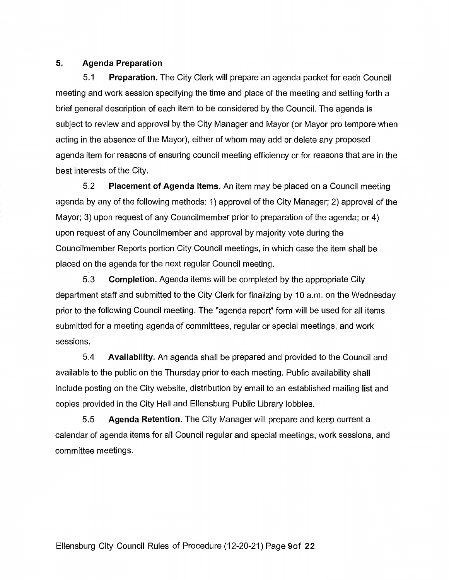## **5. Agenda Preparation**

5.1 **Preparation.** The City Clerk will prepare an agenda packet for each Council meeting and work session specifying the time and place of the meeting and setting forth a brief general description of each item to be considered by the Council. The agenda is subject to review and approval by the City Manager and Mayor (or Mayor pro tempore when acting in the absence of the Mayor), either of whom may add or delete any proposed agenda item for reasons of ensuring council meeting efficiency or for reasons that are in the best interests of the City.

5.2 **Placement of Agenda Items.** An item may be placed on a Council meeting agenda by any of the following methods: 1) approval of the City Manager; 2) approval of the Mayor; 3) upon request of any Councilmember prior to preparation of the agenda; or 4) upon request of any Councilmember and approval by majority vote during the Councilmember Reports portion City Council meetings, in which case the item shall be placed on the agenda for the next regular Council meeting.

5.3 **Completion.** Agenda items will be completed by the appropriate City department staff and submitted to the City Clerk for finalizing by 10 a.m. on the Wednesday prior to the following Council meeting. The "agenda report" form will be used for all items submitted for a meeting agenda of committees, regular or special meetings, and work sessions.

5.4 **Availability.** An agenda shall be prepared and provided to the Council and available to the public on the Thursday prior to each meeting. Public availability shall include posting on the City website, distribution by email to an established mailing list and copies provided in the City Hall and Ellensburg Public Library lobbies.

5.5 **Agenda Retention.** The City Manager will prepare and keep current a calendar of agenda items for all Council regular and special meetings, work sessions, and committee meetings.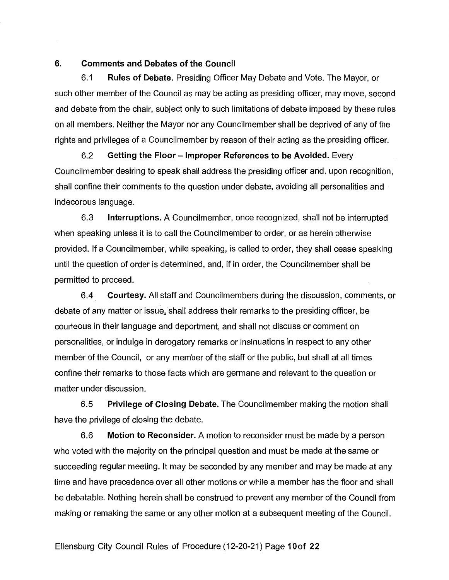#### **6. Comments and Debates of the Council**

6.1 **Rules of Debate.** Presiding Officer May Debate and Vote. The Mayor, or such other member of the Council as may be acting as presiding officer, may move, second and debate from the chair, subject only to such limitations of debate imposed by these rules on all members. Neither the Mayor nor any Councilmember shall be deprived of any of the rights and privileges of a Councilmember by reason of their acting as the presiding officer.

6.2 **Getting the Floor - Improper References to be Avoided.** Every Councilmember desiring to speak shall address the presiding officer and, upon recognition, shall confine their comments to the question under debate, avoiding all personalities and indecorous language.

6.3 **Interruptions.** A Councilmember, once recognized, shall not be interrupted when speaking unless it is to call the Councilmember to order, or as herein otherwise provided. If a Councilmember, while speaking, is called to order, they shall cease speaking until the question of order is determined, and, if in order, the Councilmember shall be permitted to proceed.

6.4 **Courtesy.** All staff and Councilmembers during the discussion, comments, or debate of any matter or issue, shall address their remarks to the presiding officer, be courteous in their language and deportment, and shall not discuss or comment on personalities, or indulge in derogatory remarks or insinuations in respect to any other member of the Council, or any member of the staff or the public, but shall at all times confine their remarks to those facts which are germane and relevant to the question or matter under discussion.

6.5 **Privilege of Closing Debate.** The Councilmember making the motion shall have the privilege of closing the debate.

6.6 **Motion to Reconsider.** A motion to reconsider must be made by a person who voted with the majority on the principal question and must be made at the same or succeeding regular meeting. It may be seconded by any member and may be made at any time and have precedence over all other motions or while a member has the floor and shall be debatable. Nothing herein shall be construed to prevent any member of the Council from making or remaking the same or any other motion at a subsequent meeting of the Council.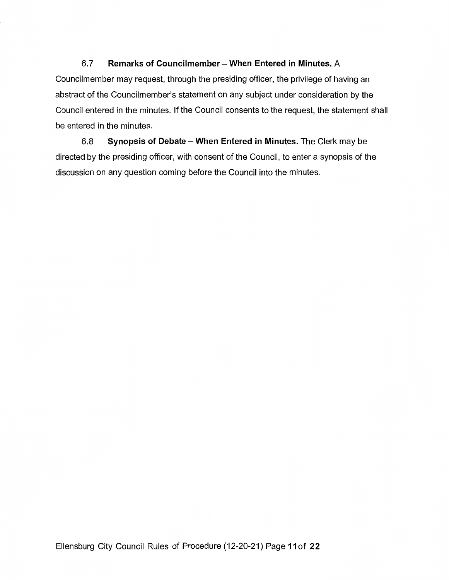## 6. 7 **Remarks of Councilmember - When Entered in Minutes.** A

Councilmember may request, through the presiding officer, the privilege of having an abstract of the Councilmember's statement on any subject under consideration by the Council entered in the minutes. If the Council consents to the request, the statement shall be entered in the minutes.

6.8 **Synopsis of Debate - When Entered in Minutes.** The Clerk may be directed by the presiding officer, with consent of the Council, to enter a synopsis of the discussion on any question coming before the Council into the minutes.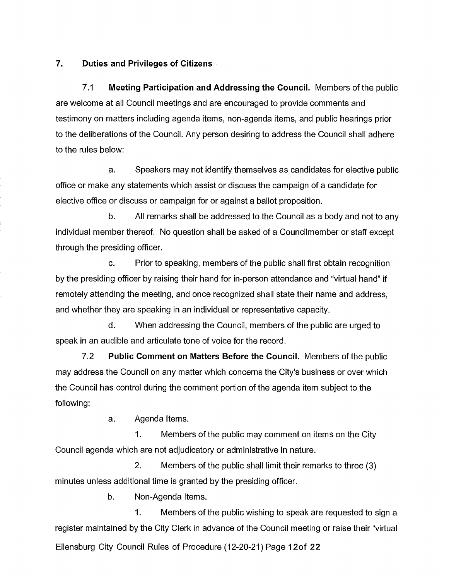#### **7. Duties and Privileges of Citizens**

7.1 **Meeting Participation and Addressing the Council.** Members of the public are welcome at all Council meetings and are encouraged to provide comments and testimony on matters including agenda items, non-agenda items, and public hearings prior to the deliberations of the Council. Any person desiring to address the Council shall adhere to the rules below:

a. Speakers may not identify themselves as candidates for elective public office or make any statements which assist or discuss the campaign of a candidate for elective office or discuss or campaign for or against a ballot proposition.

b. All remarks shall be addressed to the Council as a body and not to any individual member thereof. No question shall be asked of a Councilmember or staff except through the presiding officer.

c. Prior to speaking, members of the public shall first obtain recognition by the presiding officer by raising their hand for in-person attendance and "virtual hand" if remotely attending the meeting, and once recognized shall state their name and address, and whether they are speaking in an individual or representative capacity.

d. When addressing the Council, members of the public are urged to speak in an audible and articulate tone of voice for the record.

7.2 **Public Comment on Matters Before the Council.** Members of the public may address the Council on any matter which concerns the City's business or over which the Council has control during the comment portion of the agenda item subject to the following:

a. Agenda Items.

1. Members of the public may comment on items on the City Council agenda which are not adjudicatory or administrative in nature.

2. Members of the public shall limit their remarks to three (3) minutes unless additional time is granted by the presiding officer.

b. Non-Agenda Items.

1. Members of the public wishing to speak are requested to sign a register maintained by the City Clerk in advance of the Council meeting or raise their "virtual Ellensburg City Council Rules of Procedure (12-20-21) Page 12of 22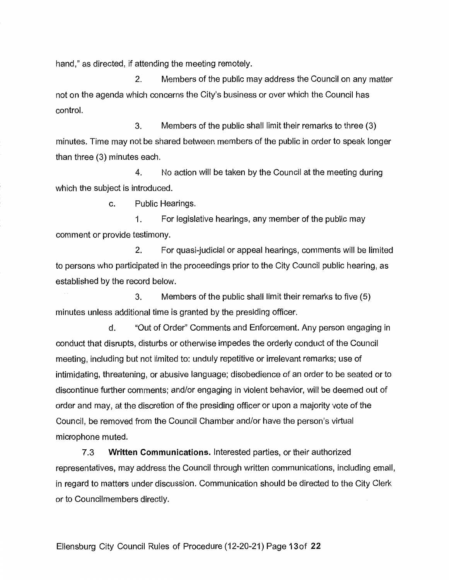hand," as directed, if attending the meeting remotely.

2. Members of the public may address the Council on any matter not on the agenda which concerns the City's business or over which the Council has control.

3. Members of the public shall limit their remarks to three (3) minutes. Time may not be shared between members of the public in order to speak longer than three (3) minutes each.

4. No action will be taken by the Council at the meeting during which the subject is introduced.

c. Public Hearings.

1. For legislative hearings, any member of the public may comment or provide testimony.

2. For quasi-judicial or appeal hearings, comments will be limited to persons who participated in the proceedings prior to the City Council public hearing, as established by the record below.

3. Members of the public shall limit their remarks to five (5) minutes unless additional time is granted by the presiding officer.

d. "Out of Order" Comments and Enforcement. Any person engaging in conduct that disrupts, disturbs or otherwise impedes the orderly conduct of the Council meeting, including but not limited to: unduly repetitive or irrelevant remarks; use of intimidating, threatening, or abusive language; disobedience of an order to be seated or to discontinue further comments; and/or engaging in violent behavior, will be deemed out of order and may, at the discretion of the presiding officer or upon a majority vote of the Council, be removed from the Council Chamber and/or have the person's virtual microphone muted.

7.3 **Written Communications.** Interested parties, or their authorized representatives, may address the Council through written communications, including email, in regard to matters under discussion. Communication should be directed to the City Clerk or to Councilmembers directly.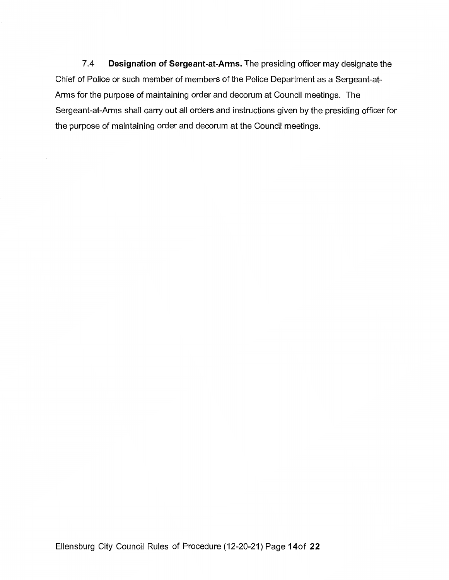7.4 **Designation of Sergeant-at-Arms.** The presiding officer may designate the Chief of Police or such member of members of the Police Department as a Sergeant-at-Arms for the purpose of maintaining order and decorum at Council meetings. The Sergeant-at-Arms shall carry out all orders and instructions given by the presiding officer for the purpose of maintaining order and decorum at the Council meetings.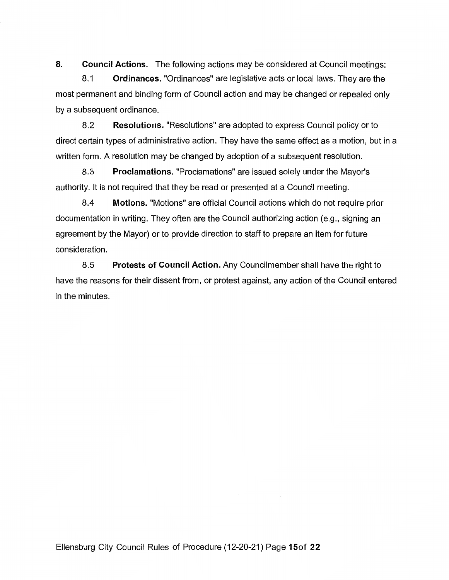**8. Council Actions.** The following actions may be considered at Council meetings:

8.1 **Ordinances.** "Ordinances" are legislative acts or local laws. They are the most permanent and binding form of Council action and may be changed or repealed only by a subsequent ordinance.

8.2 **Resolutions.** "Resolutions" are adopted to express Council policy or to direct certain types of administrative action. They have the same effect as a motion, but in a written form. A resolution may be changed by adoption of a subsequent resolution.

8.3 **Proclamations.** "Proclamations" are issued solely under the Mayor's authority. It is not required that they be read or presented at a Council meeting.

8.4 **Motions.** "Motions" are official Council actions which do not require prior documentation in writing. They often are the Council authorizing action (e.g., signing an agreement by the Mayor) or to provide direction to staff to prepare an item for future consideration.

8.5 **Protests of Council Action.** Any Councilmember shall have the right to have the reasons for their dissent from, or protest against, any action of the Council entered in the minutes.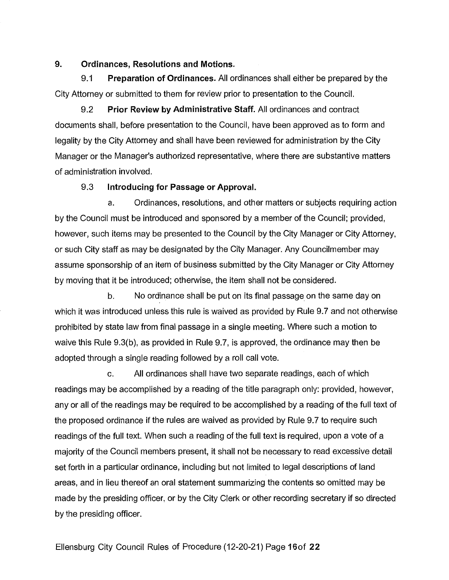#### **9. Ordinances, Resolutions and Motions.**

9.1 **Preparation of Ordinances.** All ordinances shall either be prepared by the City Attorney or submitted to them for review prior to presentation to the Council.

9.2 **Prior Review by Administrative Staff.** All ordinances and contract documents shall, before presentation to the Council, have been approved as to form and legality by the City Attorney and shall have been reviewed for administration by the City Manager or the Manager's authorized representative, where there are substantive matters of administration involved.

## 9.3 **Introducing for Passage or Approval.**

a. Ordinances, resolutions, and other matters or subjects requiring action by the Council must be introduced and sponsored by a member of the Council; provided, however, such items may be presented to the Council by the City Manager or City Attorney, or such City staff as may be designated by the City Manager. Any Councilmember may assume sponsorship of an item of business submitted by the City Manager or City Attorney by moving that it be introduced; otherwise, the item shall not be considered.

b. No ordinance shall be put on its final passage on the same day on which it was introduced unless this rule is waived as provided by Rule 9.7 and not otherwise prohibited by state law from final passage in a single meeting. Where such a motion to waive this Rule 9.3(b), as provided in Rule 9.7, is approved, the ordinance may then be adopted through a single reading followed by a roll call vote.

c. All ordinances shall have two separate readings, each of which readings may be accomplished by a reading of the title paragraph only: provided, however, any or all of the readings may be required to be accomplished by a reading of the full text of the proposed ordinance if the rules are waived as provided by Rule 9.7 to require such readings of the full text. When such a reading of the full text is required, upon a vote of a majority of the Council members present, it shall not be necessary to read excessive detail set forth in a particular ordinance, including but not limited to legal descriptions of land areas, and in lieu thereof an oral statement summarizing the contents so omitted may be made by the presiding officer, or by the City Clerk or other recording secretary if so directed by the presiding officer.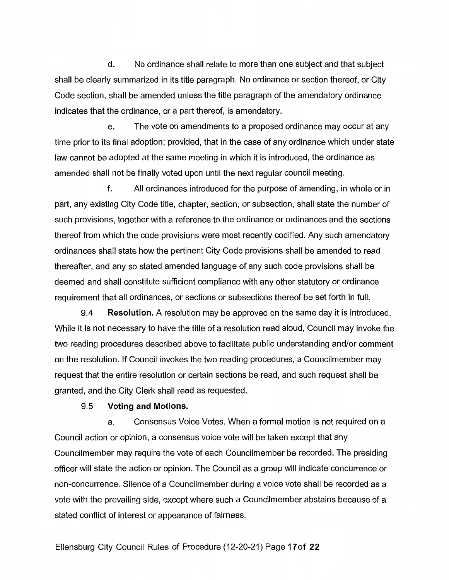d. No ordinance shall relate to more than one subject and that subject shall be clearly summarized in its title paragraph. No ordinance or section thereof, or City Code section, shall be amended unless the title paragraph of the amendatory ordinance indicates that the ordinance, or a part thereof, is amendatory.

e. The vote on amendments to a proposed ordinance may occur at any time prior to its final adoption; provided, that in the case of any ordinance which under state law cannot be adopted at the same meeting in which it is introduced, the ordinance as amended shall not be finally voted upon until the next regular council meeting.

f. All ordinances introduced for the purpose of amending, in whole or in part, any existing City Code title, chapter, section, or subsection, shall state the number of such provisions, together with a reference to the ordinance or ordinances and the sections thereof from which the code provisions were most recently codified. Any such amendatory ordinances shall state how the pertinent City Code provisions shall be amended to read thereafter, and any so stated amended language of any such code provisions shall be deemed and shall constitute sufficient compliance with any other statutory or ordinance requirement that all ordinances, or sections or subsections thereof be set forth in full.

9.4 **Resolution.** A resolution may be approved on the same day it is introduced. While it is not necessary to have the title of a resolution read aloud, Council may invoke the two reading procedures described above to facilitate public understanding and/or comment on the resolution. If Council invokes the two reading procedures, a Councilmember may request that the entire resolution or certain sections be read, and such request shall be granted, and the City Clerk shall read as requested.

#### 9.5 **Voting and Motions.**

a. Consensus Voice Votes. When a formal motion is not required on a Council action or opinion, a consensus voice vote will be taken except that any Councilmember may require the vote of each Councilmember be recorded. The presiding officer will state the action or opinion. The Council as a group will indicate concurrence or non-concurrence. Silence of a Councilmember during a voice vote shall be recorded as a vote with the prevailing side, except where such a Councilmember abstains because of a stated conflict of interest or appearance of fairness.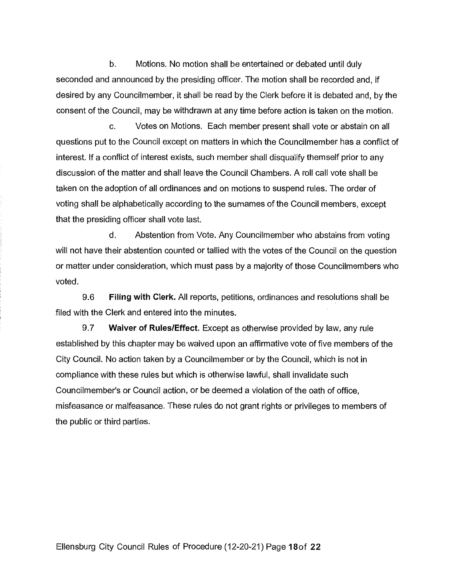b. Motions. No motion shall be entertained or debated until duly seconded and announced by the presiding officer. The motion shall be recorded and, if desired by any Councilmember, it shall be read by the Clerk before it is debated and, by the consent of the Council, may be withdrawn at any time before action is taken on the motion.

c. Votes on Motions. Each member present shall vote or abstain on all questions put to the Council except on matters in which the Councilmember has a conflict of interest. If a conflict of interest exists, such member shall disqualify themself prior to any discussion of the matter and shall leave the Council Chambers. A roll call vote shall be taken on the adoption of all ordinances and on motions to suspend rules. The order of voting shall be alphabetically according to the surnames of the Council members, except that the presiding officer shall vote last.

d. Abstention from Vote. Any Councilmember who abstains from voting will not have their abstention counted or tallied with the votes of the Council on the question or matter under consideration, which must pass by a majority of those Councilmembers who voted.

9.6 **Filing with Clerk.** All reports, petitions, ordinances and resolutions shall be filed with the Clerk and entered into the minutes.

9.7 **Waiver of Rules/Effect.** Except as otherwise provided by law, any rule established by this chapter may be waived upon an affirmative vote of five members of the City Council. No action taken by a Councilmember or by the Council, which is not in compliance with these rules but which is otherwise lawful, shall invalidate such Councilmember's or Council action, or be deemed a violation of the oath of office, misfeasance or malfeasance. These rules do not grant rights or privileges to members of the public or third parties.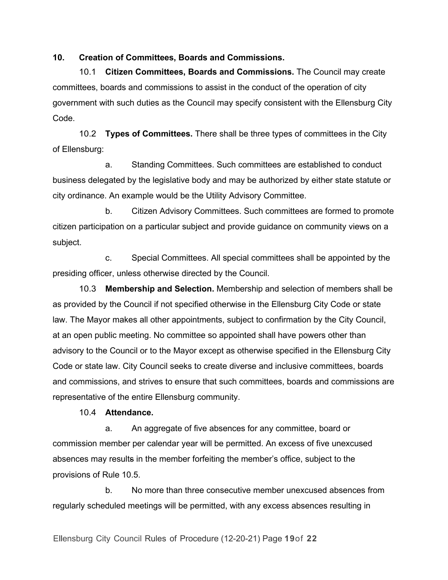**10. Creation of Committees, Boards and Commissions.**

10.1 **Citizen Committees, Boards and Commissions.** The Council may create committees, boards and commissions to assist in the conduct of the operation of city government with such duties as the Council may specify consistent with the Ellensburg City Code.

10.2 **Types of Committees.** There shall be three types of committees in the City of Ellensburg:

a. Standing Committees. Such committees are established to conduct business delegated by the legislative body and may be authorized by either state statute or city ordinance. An example would be the Utility Advisory Committee.

b. Citizen Advisory Committees. Such committees are formed to promote citizen participation on a particular subject and provide guidance on community views on a subject.

c. Special Committees. All special committees shall be appointed by the presiding officer, unless otherwise directed by the Council.

10.3 **Membership and Selection.** Membership and selection of members shall be as provided by the Council if not specified otherwise in the Ellensburg City Code or state law. The Mayor makes all other appointments, subject to confirmation by the City Council, at an open public meeting. No committee so appointed shall have powers other than advisory to the Council or to the Mayor except as otherwise specified in the Ellensburg City Code or state law. City Council seeks to create diverse and inclusive committees, boards and commissions, and strives to ensure that such committees, boards and commissions are representative of the entire Ellensburg community.

## 10.4 **Attendance.**

a. An aggregate of five absences for any committee, board or commission member per calendar year will be permitted. An excess of five unexcused absences may results in the member forfeiting the member's office, subject to the provisions of Rule 10.5.

b. No more than three consecutive member unexcused absences from regularly scheduled meetings will be permitted, with any excess absences resulting in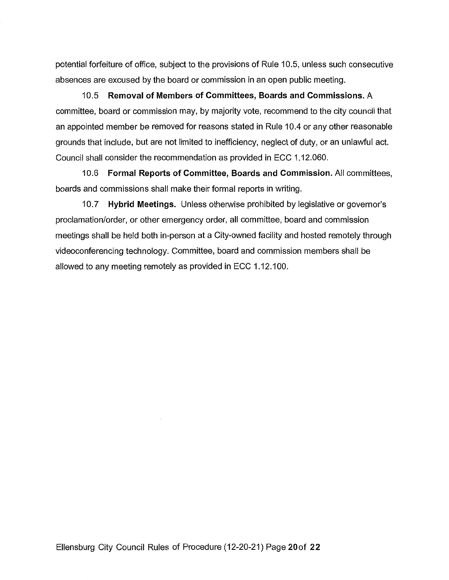potential forfeiture of office, subject to the provisions of Rule 10.5, unless such consecutive absences are excused by the board or commission in an open public meeting.

10.5 **Removal of Members of Committees, Boards and Commissions.** A committee, board or commission may, by majority vote, recommend to the city council that an appointed member be removed for reasons stated in Rule 10.4 or any other reasonable grounds that include, but are not limited to inefficiency, neglect of duty, or an unlawful act. Council shall consider the recommendation as provided in ECC 1.12.060.

10.6 **Formal Reports of Committee, Boards and Commission.** All committees, boards and commissions shall make their formal reports in writing.

10. 7 **Hybrid Meetings.** Unless otherwise prohibited by legislative or governor's proclamation/order, or other emergency order, all committee, board and commission meetings shall be held both in-person at a City-owned facility and hosted remotely through videoconferencing technology. Committee, board and commission members shall be allowed to any meeting remotely as provided in ECC 1.12.100.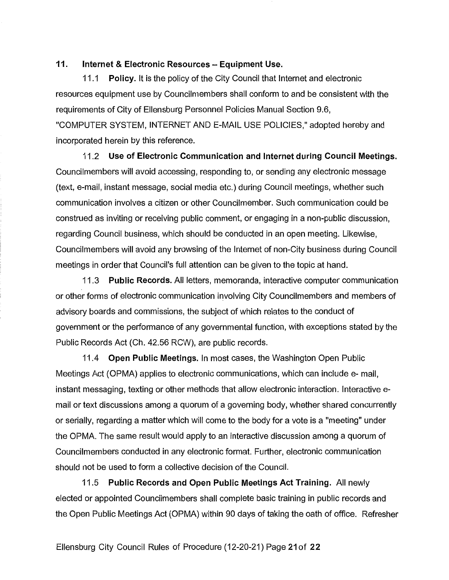#### **11. Internet & Electronic Resources - Equipment Use.**

11.1 **Policy.** It is the policy of the City Council that Internet and electronic resources equipment use by Councilmembers shall conform to and be consistent with the requirements of City of Ellensburg Personnel Policies Manual Section 9.6, "COMPUTER SYSTEM, INTERNET AND E-MAIL USE POLICIES," adopted hereby and incorporated herein by this reference.

11.2 **Use of Electronic Communication and Internet during Council Meetings.**  Councilmembers will avoid accessing, responding to, or sending any electronic message (text, e-mail, instant message, social media etc.) during Council meetings, whether such communication involves a citizen or other Councilmember. Such communication could be construed as inviting or receiving public comment, or engaging in a non-public discussion, regarding Council business, which should be conducted in an open meeting. Likewise, Councilmembers will avoid any browsing of the Internet of non-City business during Council meetings in order that Council's full attention can be given to the topic at hand.

11 .3 **Public Records.** All letters, memoranda, interactive computer communication or other forms of electronic communication involving City Councilmembers and members of advisory boards and commissions, the subject of which relates to the conduct of government or the performance of any governmental function, with exceptions stated by the Public Records Act (Ch. 42.56 RCW), are public records.

11.4 **Open Public Meetings.** In most cases, the Washington Open Public Meetings Act (OPMA) applies to electronic communications, which can include e-mail, instant messaging, texting or other methods that allow electronic interaction. Interactive email or text discussions among a quorum of a governing body, whether shared concurrently or serially, regarding a matter which will come to the body for a vote is a "meeting" under the OPMA. The same result would apply to an interactive discussion among a quorum of Councilmembers conducted in any electronic format. Further, electronic communication should not be used to form a collective decision of the Council.

11.5 **Public Records and Open Public Meetings Act Training.** All newly elected or appointed Councilmembers shall complete basic training in public records and the Open Public Meetings Act (OPMA) within 90 days of taking the oath of office. Refresher